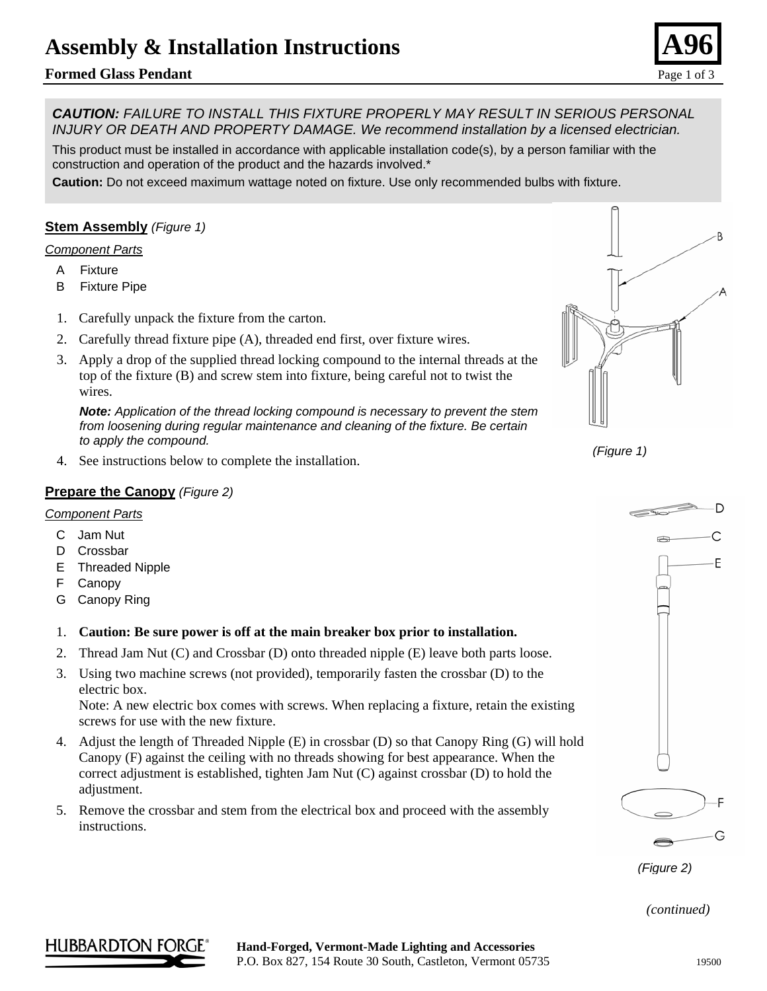# **Assembly & Installation Instructions**

# **Formed Glass Pendant** Page 1 of 3

*CAUTION: FAILURE TO INSTALL THIS FIXTURE PROPERLY MAY RESULT IN SERIOUS PERSONAL INJURY OR DEATH AND PROPERTY DAMAGE. We recommend installation by a licensed electrician.*

This product must be installed in accordance with applicable installation code(s), by a person familiar with the construction and operation of the product and the hazards involved.\*

**Caution:** Do not exceed maximum wattage noted on fixture. Use only recommended bulbs with fixture.

## **Stem Assembly** *(Figure 1)*

#### *Component Parts*

- A Fixture
- B Fixture Pipe
- 1. Carefully unpack the fixture from the carton.
- 2. Carefully thread fixture pipe (A), threaded end first, over fixture wires.
- 3. Apply a drop of the supplied thread locking compound to the internal threads at the top of the fixture (B) and screw stem into fixture, being careful not to twist the wires.

*Note: Application of the thread locking compound is necessary to prevent the stem from loosening during regular maintenance and cleaning of the fixture. Be certain to apply the compound.* (Figure 1)<br>4. See instructions below to complete the installation.

#### **Prepare the Canopy** *(Figure 2)*

#### *Component Parts*

- C Jam Nut
- D Crossbar
- E Threaded Nipple
- F Canopy
- G Canopy Ring

#### 1. **Caution: Be sure power is off at the main breaker box prior to installation.**

- 2. Thread Jam Nut (C) and Crossbar (D) onto threaded nipple (E) leave both parts loose.
- 3. Using two machine screws (not provided), temporarily fasten the crossbar (D) to the electric box.

Note: A new electric box comes with screws. When replacing a fixture, retain the existing screws for use with the new fixture.

- 4. Adjust the length of Threaded Nipple (E) in crossbar (D) so that Canopy Ring (G) will hold Canopy (F) against the ceiling with no threads showing for best appearance. When the correct adjustment is established, tighten Jam Nut (C) against crossbar (D) to hold the adjustment.
- 5. Remove the crossbar and stem from the electrical box and proceed with the assembly instructions.



*(Figure 2)*

*(continued)* 

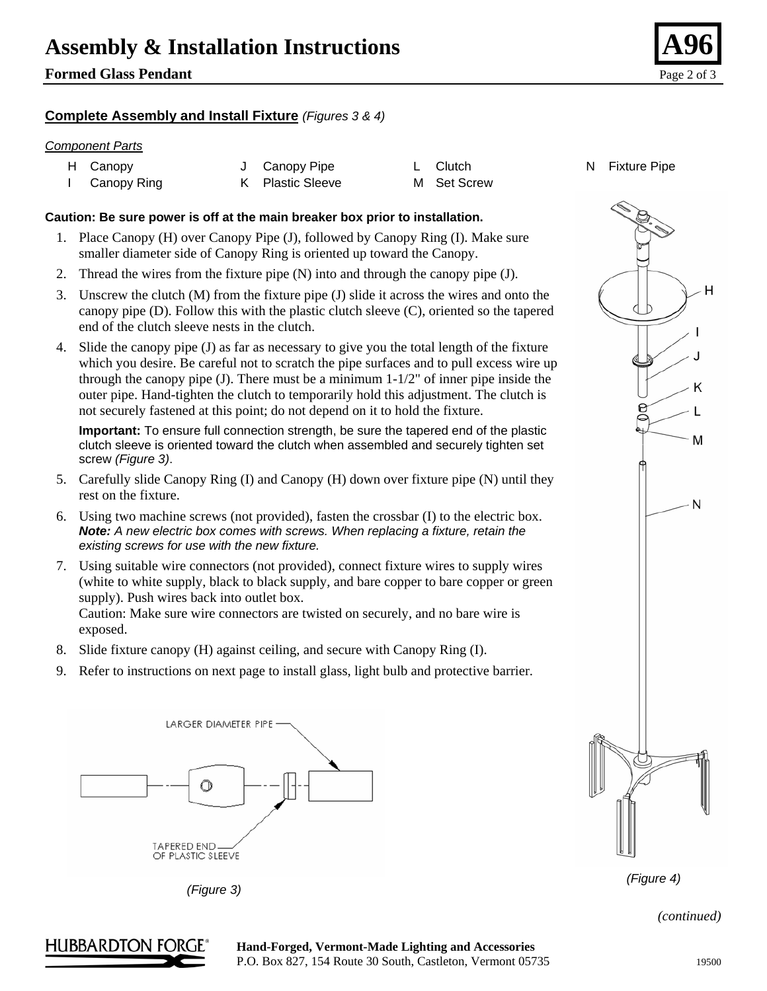# **Assembly & Installation Instructions**

# **Formed Glass Pendant** Page 2 of 3

## **Complete Assembly and Install Fixture** *(Figures 3 & 4)*

#### *Component Parts*

| H Canopy    | J Canopy Pipe    | L Clutch    |
|-------------|------------------|-------------|
| Canopy Ring | K Plastic Sleeve | M Set Screw |

## **Caution: Be sure power is off at the main breaker box prior to installation.**

- 1. Place Canopy (H) over Canopy Pipe (J), followed by Canopy Ring (I). Make sure smaller diameter side of Canopy Ring is oriented up toward the Canopy.
- 2. Thread the wires from the fixture pipe (N) into and through the canopy pipe (J).
- 3. Unscrew the clutch (M) from the fixture pipe (J) slide it across the wires and onto the canopy pipe (D). Follow this with the plastic clutch sleeve (C), oriented so the tapered end of the clutch sleeve nests in the clutch.
- 4. Slide the canopy pipe (J) as far as necessary to give you the total length of the fixture which you desire. Be careful not to scratch the pipe surfaces and to pull excess wire up through the canopy pipe (J). There must be a minimum  $1-1/2$ " of inner pipe inside the outer pipe. Hand-tighten the clutch to temporarily hold this adjustment. The clutch is not securely fastened at this point; do not depend on it to hold the fixture.

**Important:** To ensure full connection strength, be sure the tapered end of the plastic clutch sleeve is oriented toward the clutch when assembled and securely tighten set screw *(Figure 3)*.

- 5. Carefully slide Canopy Ring (I) and Canopy (H) down over fixture pipe (N) until they rest on the fixture.
- 6. Using two machine screws (not provided), fasten the crossbar (I) to the electric box. *Note: A new electric box comes with screws. When replacing a fixture, retain the existing screws for use with the new fixture.*
- 7. Using suitable wire connectors (not provided), connect fixture wires to supply wires (white to white supply, black to black supply, and bare copper to bare copper or green supply). Push wires back into outlet box. Caution: Make sure wire connectors are twisted on securely, and no bare wire is exposed.
- 8. Slide fixture canopy (H) against ceiling, and secure with Canopy Ring (I).
- 9. Refer to instructions on next page to install glass, light bulb and protective barrier.



*(Figure 3)* 





*(continued)* 



de Canopy J Canopy N Fixture Pipe L